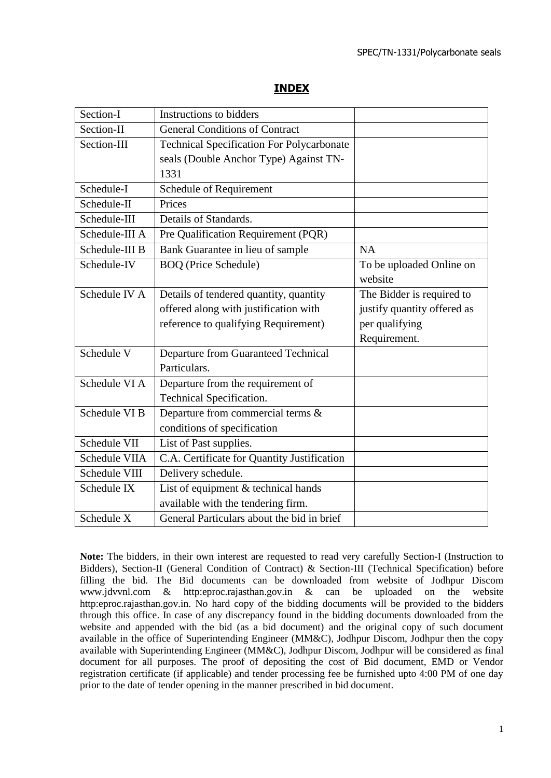#### SPEC/TN-1331/Polycarbonate seals

#### **INDEX**

| Section-I      | Instructions to bidders                          |                             |
|----------------|--------------------------------------------------|-----------------------------|
| Section-II     | <b>General Conditions of Contract</b>            |                             |
| Section-III    | <b>Technical Specification For Polycarbonate</b> |                             |
|                | seals (Double Anchor Type) Against TN-           |                             |
|                | 1331                                             |                             |
| Schedule-I     | Schedule of Requirement                          |                             |
| Schedule-II    | Prices                                           |                             |
| Schedule-III   | Details of Standards.                            |                             |
| Schedule-III A | Pre Qualification Requirement (PQR)              |                             |
| Schedule-III B | Bank Guarantee in lieu of sample                 | <b>NA</b>                   |
| Schedule-IV    | <b>BOQ</b> (Price Schedule)                      | To be uploaded Online on    |
|                |                                                  | website                     |
| Schedule IV A  | Details of tendered quantity, quantity           | The Bidder is required to   |
|                | offered along with justification with            | justify quantity offered as |
|                | reference to qualifying Requirement)             | per qualifying              |
|                |                                                  | Requirement.                |
| Schedule V     | <b>Departure from Guaranteed Technical</b>       |                             |
|                | Particulars.                                     |                             |
| Schedule VI A  | Departure from the requirement of                |                             |
|                | Technical Specification.                         |                             |
| Schedule VI B  | Departure from commercial terms &                |                             |
|                | conditions of specification                      |                             |
| Schedule VII   | List of Past supplies.                           |                             |
| Schedule VIIA  | C.A. Certificate for Quantity Justification      |                             |
| Schedule VIII  | Delivery schedule.                               |                             |
| Schedule IX    | List of equipment & technical hands              |                             |
|                | available with the tendering firm.               |                             |
| Schedule X     | General Particulars about the bid in brief       |                             |

**Note:** The bidders, in their own interest are requested to read very carefully Section-I (Instruction to Bidders), Section-II (General Condition of Contract) & Section-III (Technical Specification) before filling the bid. The Bid documents can be downloaded from website of Jodhpur Discom www.jdvvnl.com & http:eproc.rajasthan.gov.in & can be uploaded on the website http:eproc.rajasthan.gov.in. No hard copy of the bidding documents will be provided to the bidders through this office. In case of any discrepancy found in the bidding documents downloaded from the website and appended with the bid (as a bid document) and the original copy of such document available in the office of Superintending Engineer (MM&C), Jodhpur Discom, Jodhpur then the copy available with Superintending Engineer (MM&C), Jodhpur Discom, Jodhpur will be considered as final document for all purposes. The proof of depositing the cost of Bid document, EMD or Vendor registration certificate (if applicable) and tender processing fee be furnished upto 4:00 PM of one day prior to the date of tender opening in the manner prescribed in bid document.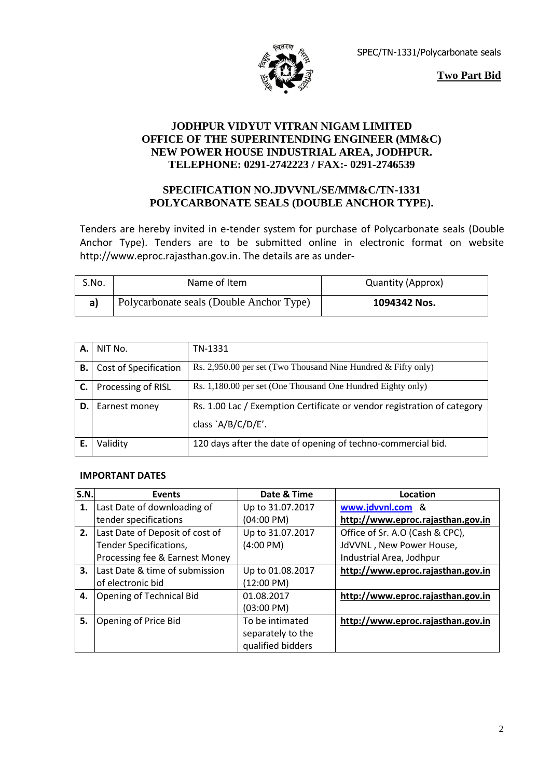

SPEC/TN-1331/Polycarbonate seals

**Two Part Bid**

## **JODHPUR VIDYUT VITRAN NIGAM LIMITED OFFICE OF THE SUPERINTENDING ENGINEER (MM&C) NEW POWER HOUSE INDUSTRIAL AREA, JODHPUR. TELEPHONE: 0291-2742223 / FAX:- 0291-2746539**

## **SPECIFICATION NO.JDVVNL/SE/MM&C/TN-1331 POLYCARBONATE SEALS (DOUBLE ANCHOR TYPE).**

Tenders are hereby invited in e-tender system for purchase of Polycarbonate seals (Double Anchor Type). Tenders are to be submitted online in electronic format on website http://www.eproc.rajasthan.gov.in. The details are as under-

| S.No. | Name of Item                             | <b>Quantity (Approx)</b> |
|-------|------------------------------------------|--------------------------|
|       | Polycarbonate seals (Double Anchor Type) | 1094342 Nos.             |

| А. | NIT No.               | TN-1331                                                                 |
|----|-----------------------|-------------------------------------------------------------------------|
| В. | Cost of Specification | Rs. 2,950.00 per set (Two Thousand Nine Hundred & Fifty only)           |
| C. | Processing of RISL    | Rs. 1,180.00 per set (One Thousand One Hundred Eighty only)             |
| D. | Earnest money         | Rs. 1.00 Lac / Exemption Certificate or vendor registration of category |
|    |                       | class `A/B/C/D/E'.                                                      |
|    | Validity              | 120 days after the date of opening of techno-commercial bid.            |

#### **IMPORTANT DATES**

| S.N. | <b>Events</b>                   | Date & Time          | Location                          |
|------|---------------------------------|----------------------|-----------------------------------|
| 1.   | Last Date of downloading of     | Up to 31.07.2017     | www.jdvvnl.com &                  |
|      | tender specifications           | $(04:00 \text{ PM})$ | http://www.eproc.rajasthan.gov.in |
| 2.   | Last Date of Deposit of cost of | Up to 31.07.2017     | Office of Sr. A.O (Cash & CPC),   |
|      | Tender Specifications,          | $(4:00 \text{ PM})$  | JdVVNL, New Power House,          |
|      | Processing fee & Earnest Money  |                      | Industrial Area, Jodhpur          |
| 3.   | Last Date & time of submission  | Up to 01.08.2017     | http://www.eproc.rajasthan.gov.in |
|      | of electronic bid               | $(12:00 \text{ PM})$ |                                   |
| 4.   | Opening of Technical Bid        | 01.08.2017           | http://www.eproc.rajasthan.gov.in |
|      |                                 | $(03:00 \text{ PM})$ |                                   |
| 5.   | Opening of Price Bid            | To be intimated      | http://www.eproc.rajasthan.gov.in |
|      |                                 | separately to the    |                                   |
|      |                                 | qualified bidders    |                                   |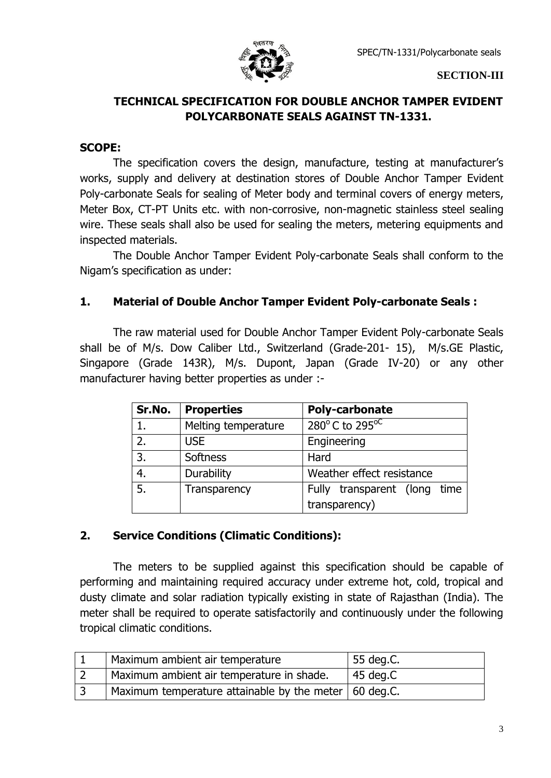

**SECTION-III**

# **TECHNICAL SPECIFICATION FOR DOUBLE ANCHOR TAMPER EVIDENT POLYCARBONATE SEALS AGAINST TN-1331.**

## **SCOPE:**

The specification covers the design, manufacture, testing at manufacturer's works, supply and delivery at destination stores of Double Anchor Tamper Evident Poly-carbonate Seals for sealing of Meter body and terminal covers of energy meters, Meter Box, CT-PT Units etc. with non-corrosive, non-magnetic stainless steel sealing wire. These seals shall also be used for sealing the meters, metering equipments and inspected materials.

The Double Anchor Tamper Evident Poly-carbonate Seals shall conform to the Nigam's specification as under:

## **1. Material of Double Anchor Tamper Evident Poly-carbonate Seals :**

The raw material used for Double Anchor Tamper Evident Poly-carbonate Seals shall be of M/s. Dow Caliber Ltd., Switzerland (Grade-201- 15), M/s.GE Plastic, Singapore (Grade 143R), M/s. Dupont, Japan (Grade IV-20) or any other manufacturer having better properties as under :-

| Sr.No. | <b>Properties</b>   | <b>Poly-carbonate</b>            |  |  |
|--------|---------------------|----------------------------------|--|--|
| 1.     | Melting temperature | $280^{\circ}$ C to $295^{\circ}$ |  |  |
| 2.     | <b>USE</b>          | Engineering                      |  |  |
| 3.     | Softness            | Hard                             |  |  |
| 4.     | Durability          | Weather effect resistance        |  |  |
| 5.     | Transparency        | Fully transparent (long time     |  |  |
|        |                     | transparency)                    |  |  |

## **2. Service Conditions (Climatic Conditions):**

The meters to be supplied against this specification should be capable of performing and maintaining required accuracy under extreme hot, cold, tropical and dusty climate and solar radiation typically existing in state of Rajasthan (India). The meter shall be required to operate satisfactorily and continuously under the following tropical climatic conditions.

| Maximum ambient air temperature                         | 55 deg.C.          |
|---------------------------------------------------------|--------------------|
| Maximum ambient air temperature in shade.               | $45 \text{ deg.C}$ |
| Maximum temperature attainable by the meter   60 deg.C. |                    |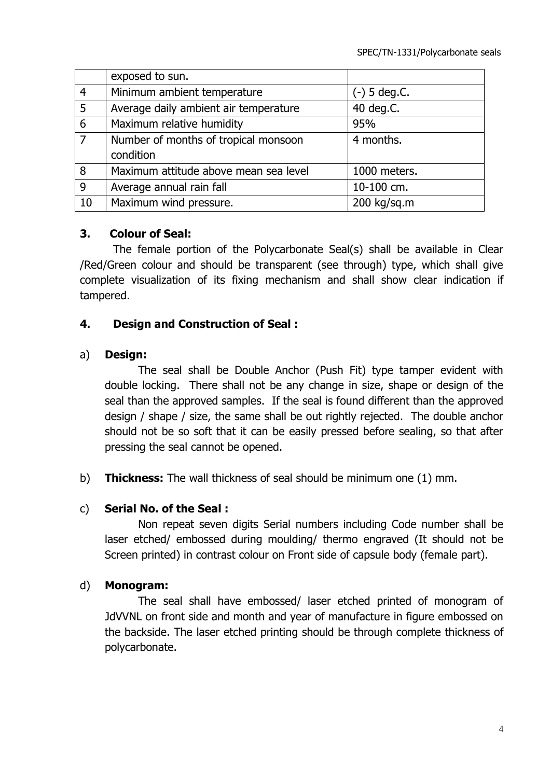|                | exposed to sun.                       |                |
|----------------|---------------------------------------|----------------|
| $\overline{4}$ | Minimum ambient temperature           | $(-)$ 5 deg.C. |
| $\overline{5}$ | Average daily ambient air temperature | 40 deg.C.      |
| $\overline{6}$ | Maximum relative humidity             | 95%            |
| $\overline{7}$ | Number of months of tropical monsoon  | 4 months.      |
|                | condition                             |                |
| 8              | Maximum attitude above mean sea level | 1000 meters.   |
| $\overline{9}$ | Average annual rain fall              | 10-100 cm.     |
| 10             | Maximum wind pressure.                | 200 kg/sq.m    |

## **3. Colour of Seal:**

The female portion of the Polycarbonate Seal(s) shall be available in Clear /Red/Green colour and should be transparent (see through) type, which shall give complete visualization of its fixing mechanism and shall show clear indication if tampered.

## **4. Design and Construction of Seal :**

## a) **Design:**

The seal shall be Double Anchor (Push Fit) type tamper evident with double locking. There shall not be any change in size, shape or design of the seal than the approved samples. If the seal is found different than the approved design / shape / size, the same shall be out rightly rejected. The double anchor should not be so soft that it can be easily pressed before sealing, so that after pressing the seal cannot be opened.

b) **Thickness:** The wall thickness of seal should be minimum one (1) mm.

## c) **Serial No. of the Seal :**

Non repeat seven digits Serial numbers including Code number shall be laser etched/ embossed during moulding/ thermo engraved (It should not be Screen printed) in contrast colour on Front side of capsule body (female part).

## d) **Monogram:**

The seal shall have embossed/ laser etched printed of monogram of JdVVNL on front side and month and year of manufacture in figure embossed on the backside. The laser etched printing should be through complete thickness of polycarbonate.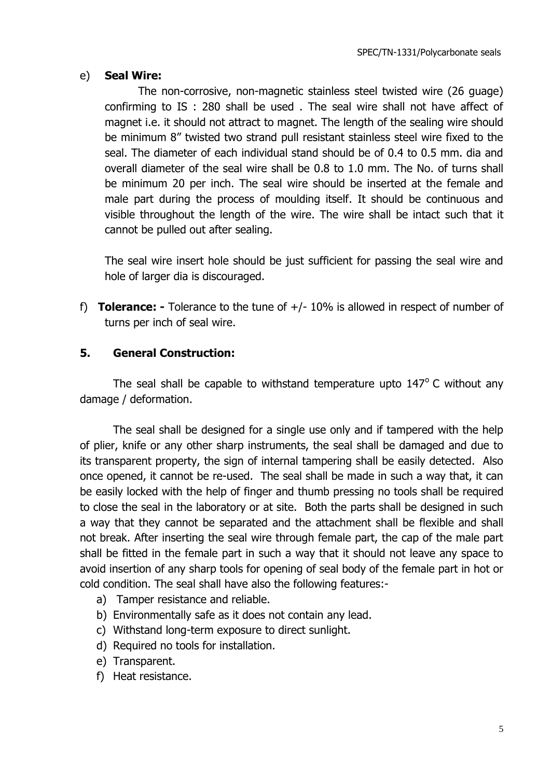# e) **Seal Wire:**

The non-corrosive, non-magnetic stainless steel twisted wire (26 guage) confirming to IS : 280 shall be used . The seal wire shall not have affect of magnet i.e. it should not attract to magnet. The length of the sealing wire should be minimum 8" twisted two strand pull resistant stainless steel wire fixed to the seal. The diameter of each individual stand should be of 0.4 to 0.5 mm. dia and overall diameter of the seal wire shall be 0.8 to 1.0 mm. The No. of turns shall be minimum 20 per inch. The seal wire should be inserted at the female and male part during the process of moulding itself. It should be continuous and visible throughout the length of the wire. The wire shall be intact such that it cannot be pulled out after sealing.

The seal wire insert hole should be just sufficient for passing the seal wire and hole of larger dia is discouraged.

f) **Tolerance: -** Tolerance to the tune of +/- 10% is allowed in respect of number of turns per inch of seal wire.

# **5. General Construction:**

The seal shall be capable to withstand temperature upto  $147^{\circ}$  C without any damage / deformation.

The seal shall be designed for a single use only and if tampered with the help of plier, knife or any other sharp instruments, the seal shall be damaged and due to its transparent property, the sign of internal tampering shall be easily detected. Also once opened, it cannot be re-used. The seal shall be made in such a way that, it can be easily locked with the help of finger and thumb pressing no tools shall be required to close the seal in the laboratory or at site. Both the parts shall be designed in such a way that they cannot be separated and the attachment shall be flexible and shall not break. After inserting the seal wire through female part, the cap of the male part shall be fitted in the female part in such a way that it should not leave any space to avoid insertion of any sharp tools for opening of seal body of the female part in hot or cold condition. The seal shall have also the following features:-

- a) Tamper resistance and reliable.
- b) Environmentally safe as it does not contain any lead.
- c) Withstand long-term exposure to direct sunlight.
- d) Required no tools for installation.
- e) Transparent.
- f) Heat resistance.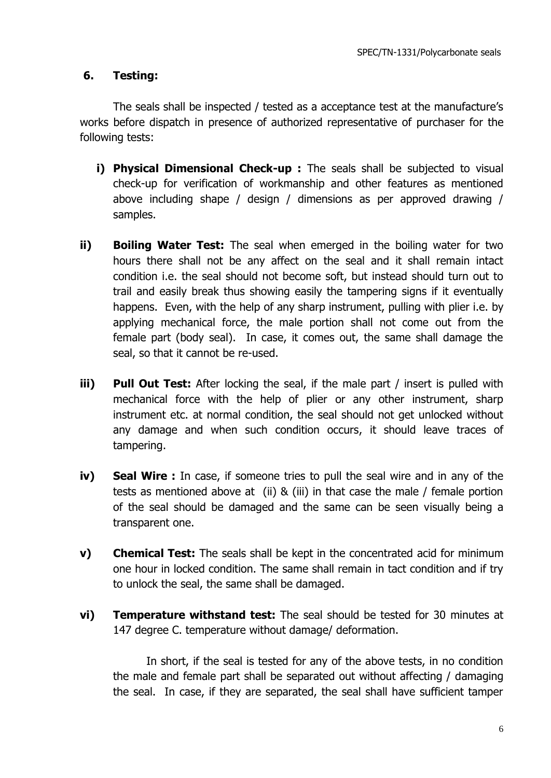## **6. Testing:**

The seals shall be inspected / tested as a acceptance test at the manufacture's works before dispatch in presence of authorized representative of purchaser for the following tests:

- **i) Physical Dimensional Check-up :** The seals shall be subjected to visual check-up for verification of workmanship and other features as mentioned above including shape / design / dimensions as per approved drawing / samples.
- **ii) Boiling Water Test:** The seal when emerged in the boiling water for two hours there shall not be any affect on the seal and it shall remain intact condition i.e. the seal should not become soft, but instead should turn out to trail and easily break thus showing easily the tampering signs if it eventually happens. Even, with the help of any sharp instrument, pulling with plier i.e. by applying mechanical force, the male portion shall not come out from the female part (body seal). In case, it comes out, the same shall damage the seal, so that it cannot be re-used.
- **iii) Pull Out Test:** After locking the seal, if the male part / insert is pulled with mechanical force with the help of plier or any other instrument, sharp instrument etc. at normal condition, the seal should not get unlocked without any damage and when such condition occurs, it should leave traces of tampering.
- **iv) Seal Wire :** In case, if someone tries to pull the seal wire and in any of the tests as mentioned above at (ii) & (iii) in that case the male / female portion of the seal should be damaged and the same can be seen visually being a transparent one.
- **v) Chemical Test:** The seals shall be kept in the concentrated acid for minimum one hour in locked condition. The same shall remain in tact condition and if try to unlock the seal, the same shall be damaged.
- **vi) Temperature withstand test:** The seal should be tested for 30 minutes at 147 degree C. temperature without damage/ deformation.

In short, if the seal is tested for any of the above tests, in no condition the male and female part shall be separated out without affecting / damaging the seal. In case, if they are separated, the seal shall have sufficient tamper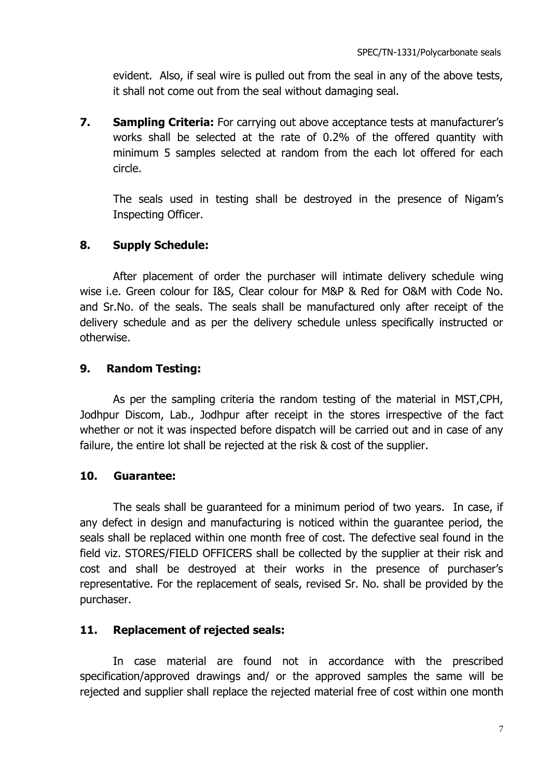evident. Also, if seal wire is pulled out from the seal in any of the above tests, it shall not come out from the seal without damaging seal.

**7. Sampling Criteria:** For carrying out above acceptance tests at manufacturer's works shall be selected at the rate of 0.2% of the offered quantity with minimum 5 samples selected at random from the each lot offered for each circle.

The seals used in testing shall be destroyed in the presence of Nigam's Inspecting Officer.

# **8. Supply Schedule:**

After placement of order the purchaser will intimate delivery schedule wing wise i.e. Green colour for I&S, Clear colour for M&P & Red for O&M with Code No. and Sr.No. of the seals. The seals shall be manufactured only after receipt of the delivery schedule and as per the delivery schedule unless specifically instructed or otherwise.

# **9. Random Testing:**

As per the sampling criteria the random testing of the material in MST,CPH, Jodhpur Discom, Lab., Jodhpur after receipt in the stores irrespective of the fact whether or not it was inspected before dispatch will be carried out and in case of any failure, the entire lot shall be rejected at the risk & cost of the supplier.

# **10. Guarantee:**

The seals shall be guaranteed for a minimum period of two years. In case, if any defect in design and manufacturing is noticed within the guarantee period, the seals shall be replaced within one month free of cost. The defective seal found in the field viz. STORES/FIELD OFFICERS shall be collected by the supplier at their risk and cost and shall be destroyed at their works in the presence of purchaser's representative. For the replacement of seals, revised Sr. No. shall be provided by the purchaser.

# **11. Replacement of rejected seals:**

In case material are found not in accordance with the prescribed specification/approved drawings and/ or the approved samples the same will be rejected and supplier shall replace the rejected material free of cost within one month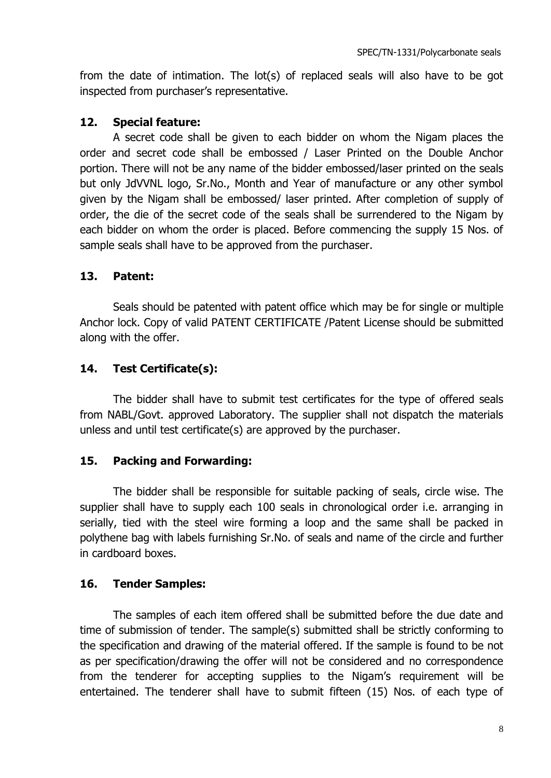from the date of intimation. The lot(s) of replaced seals will also have to be got inspected from purchaser's representative.

# **12. Special feature:**

A secret code shall be given to each bidder on whom the Nigam places the order and secret code shall be embossed / Laser Printed on the Double Anchor portion. There will not be any name of the bidder embossed/laser printed on the seals but only JdVVNL logo, Sr.No., Month and Year of manufacture or any other symbol given by the Nigam shall be embossed/ laser printed. After completion of supply of order, the die of the secret code of the seals shall be surrendered to the Nigam by each bidder on whom the order is placed. Before commencing the supply 15 Nos. of sample seals shall have to be approved from the purchaser.

# **13. Patent:**

Seals should be patented with patent office which may be for single or multiple Anchor lock. Copy of valid PATENT CERTIFICATE /Patent License should be submitted along with the offer.

# **14. Test Certificate(s):**

The bidder shall have to submit test certificates for the type of offered seals from NABL/Govt. approved Laboratory. The supplier shall not dispatch the materials unless and until test certificate(s) are approved by the purchaser.

# **15. Packing and Forwarding:**

The bidder shall be responsible for suitable packing of seals, circle wise. The supplier shall have to supply each 100 seals in chronological order i.e. arranging in serially, tied with the steel wire forming a loop and the same shall be packed in polythene bag with labels furnishing Sr.No. of seals and name of the circle and further in cardboard boxes.

# **16. Tender Samples:**

The samples of each item offered shall be submitted before the due date and time of submission of tender. The sample(s) submitted shall be strictly conforming to the specification and drawing of the material offered. If the sample is found to be not as per specification/drawing the offer will not be considered and no correspondence from the tenderer for accepting supplies to the Nigam's requirement will be entertained. The tenderer shall have to submit fifteen (15) Nos. of each type of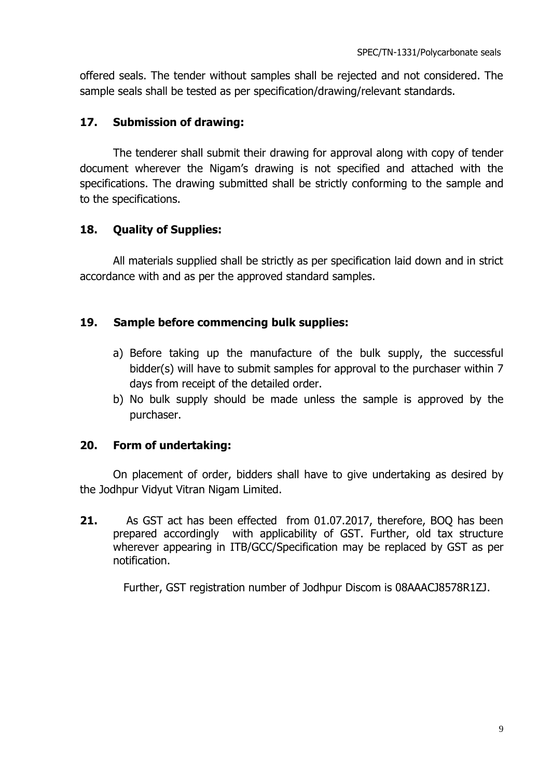offered seals. The tender without samples shall be rejected and not considered. The sample seals shall be tested as per specification/drawing/relevant standards.

## **17. Submission of drawing:**

The tenderer shall submit their drawing for approval along with copy of tender document wherever the Nigam's drawing is not specified and attached with the specifications. The drawing submitted shall be strictly conforming to the sample and to the specifications.

## **18. Quality of Supplies:**

All materials supplied shall be strictly as per specification laid down and in strict accordance with and as per the approved standard samples.

## **19. Sample before commencing bulk supplies:**

- a) Before taking up the manufacture of the bulk supply, the successful bidder(s) will have to submit samples for approval to the purchaser within 7 days from receipt of the detailed order.
- b) No bulk supply should be made unless the sample is approved by the purchaser.

## **20. Form of undertaking:**

On placement of order, bidders shall have to give undertaking as desired by the Jodhpur Vidyut Vitran Nigam Limited.

**21.** As GST act has been effected from 01.07.2017, therefore, BOQ has been prepared accordingly with applicability of GST. Further, old tax structure wherever appearing in ITB/GCC/Specification may be replaced by GST as per notification.

Further, GST registration number of Jodhpur Discom is 08AAACJ8578R1ZJ.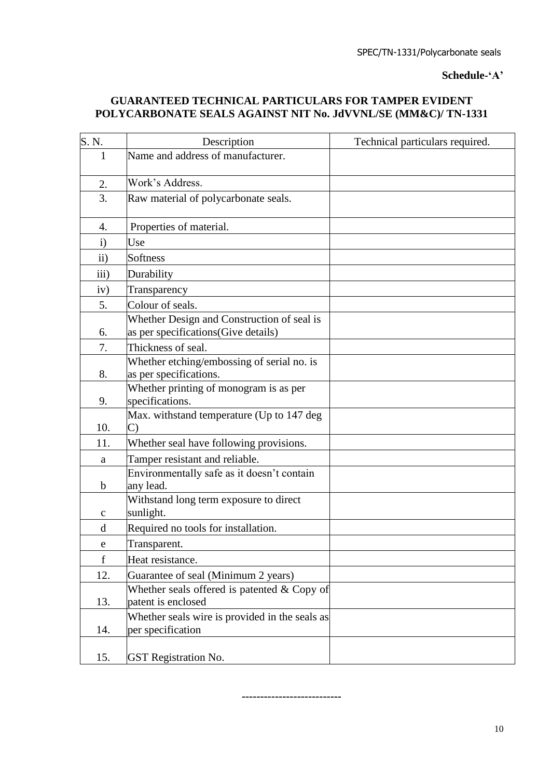**Schedule-'A'**

## **GUARANTEED TECHNICAL PARTICULARS FOR TAMPER EVIDENT POLYCARBONATE SEALS AGAINST NIT No. JdVVNL/SE (MM&C)/ TN-1331**

| S.N.         | Description                                                                       | Technical particulars required. |
|--------------|-----------------------------------------------------------------------------------|---------------------------------|
| $\mathbf{1}$ | Name and address of manufacturer.                                                 |                                 |
| 2.           | Work's Address.                                                                   |                                 |
| 3.           | Raw material of polycarbonate seals.                                              |                                 |
| 4.           | Properties of material.                                                           |                                 |
| $\mathbf{i}$ | Use                                                                               |                                 |
| ii)          | Softness                                                                          |                                 |
| iii)         | Durability                                                                        |                                 |
| iv)          | Transparency                                                                      |                                 |
| 5.           | Colour of seals.                                                                  |                                 |
| 6.           | Whether Design and Construction of seal is<br>as per specifications(Give details) |                                 |
| 7.           | Thickness of seal.                                                                |                                 |
| 8.           | Whether etching/embossing of serial no. is<br>as per specifications.              |                                 |
| 9.           | Whether printing of monogram is as per<br>specifications.                         |                                 |
| 10.          | Max. withstand temperature (Up to 147 deg<br>C)                                   |                                 |
| 11.          | Whether seal have following provisions.                                           |                                 |
| a            | Tamper resistant and reliable.                                                    |                                 |
| $\mathbf b$  | Environmentally safe as it doesn't contain<br>any lead.                           |                                 |
| $\mathbf c$  | Withstand long term exposure to direct<br>sunlight.                               |                                 |
| d            | Required no tools for installation.                                               |                                 |
| e            | Transparent.                                                                      |                                 |
| $\mathbf f$  | Heat resistance.                                                                  |                                 |
| 12.          | Guarantee of seal (Minimum 2 years)                                               |                                 |
| 13.          | Whether seals offered is patented $& Copy$ of<br>patent is enclosed               |                                 |
| 14.          | Whether seals wire is provided in the seals as<br>per specification               |                                 |
| 15.          | <b>GST</b> Registration No.                                                       |                                 |

**---------------------------**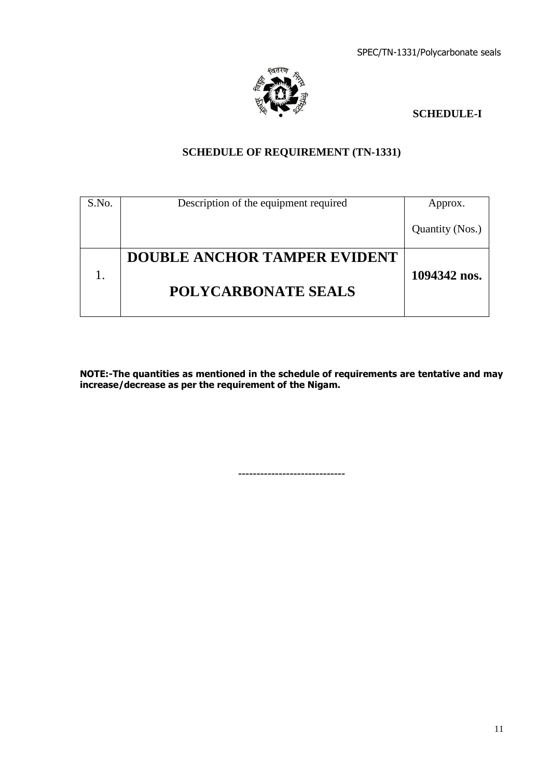

## **SCHEDULE-I**

# **SCHEDULE OF REQUIREMENT (TN-1331)**

| S.No. | Description of the equipment required | Approx.         |
|-------|---------------------------------------|-----------------|
|       |                                       | Quantity (Nos.) |
|       | <b>DOUBLE ANCHOR TAMPER EVIDENT</b>   |                 |
|       | <b>POLYCARBONATE SEALS</b>            | 1094342 nos.    |

**NOTE:-The quantities as mentioned in the schedule of requirements are tentative and may increase/decrease as per the requirement of the Nigam.**

**-----------------------------**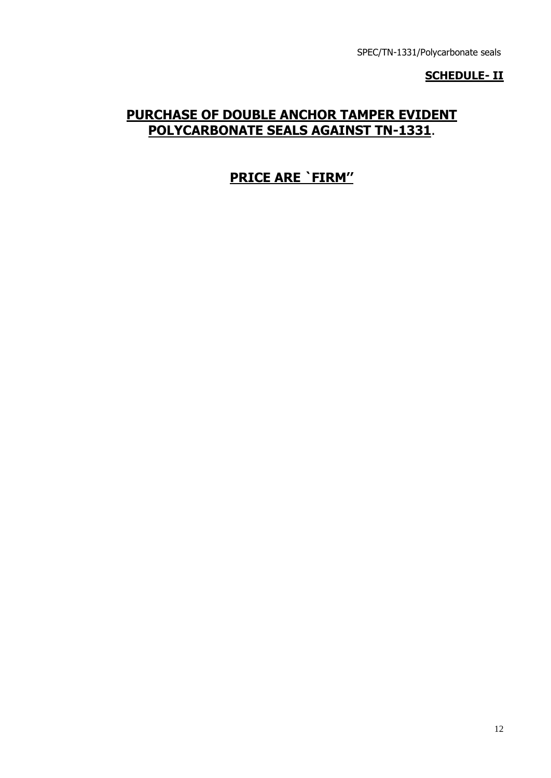## **SCHEDULE- II**

# **PURCHASE OF DOUBLE ANCHOR TAMPER EVIDENT POLYCARBONATE SEALS AGAINST TN-1331**.

# **PRICE ARE `FIRM''**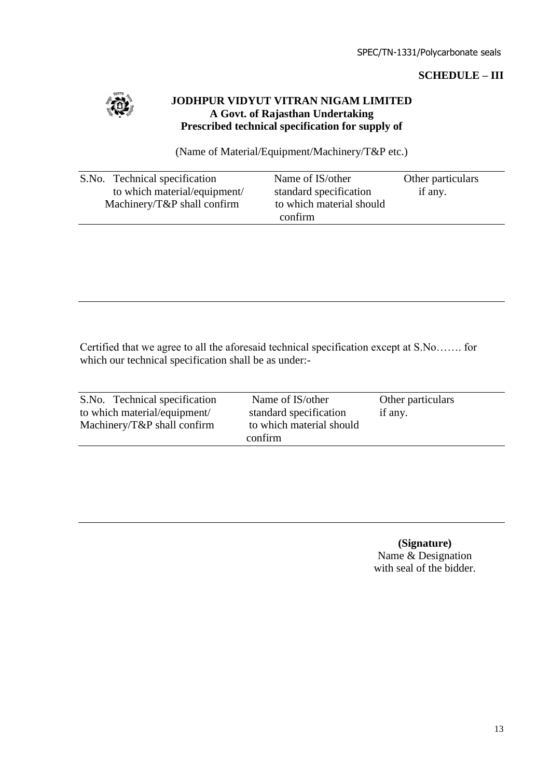## **SCHEDULE – III**



## **JODHPUR VIDYUT VITRAN NIGAM LIMITED A Govt. of Rajasthan Undertaking Prescribed technical specification for supply of**

(Name of Material/Equipment/Machinery/T&P etc.)

| S.No. Technical specification | Name of IS/other         | Other particulars |
|-------------------------------|--------------------------|-------------------|
| to which material/equipment/  | standard specification   | if any.           |
| Machinery/T&P shall confirm   | to which material should |                   |
|                               | confirm                  |                   |

Certified that we agree to all the aforesaid technical specification except at S.No……. for which our technical specification shall be as under:-

| S.No. Technical specification   | Name of IS/other                  | Other particulars |
|---------------------------------|-----------------------------------|-------------------|
| to which material/equipment/    | standard specification<br>if any. |                   |
| Machinery/ $T\&P$ shall confirm | to which material should          |                   |
|                                 | confirm                           |                   |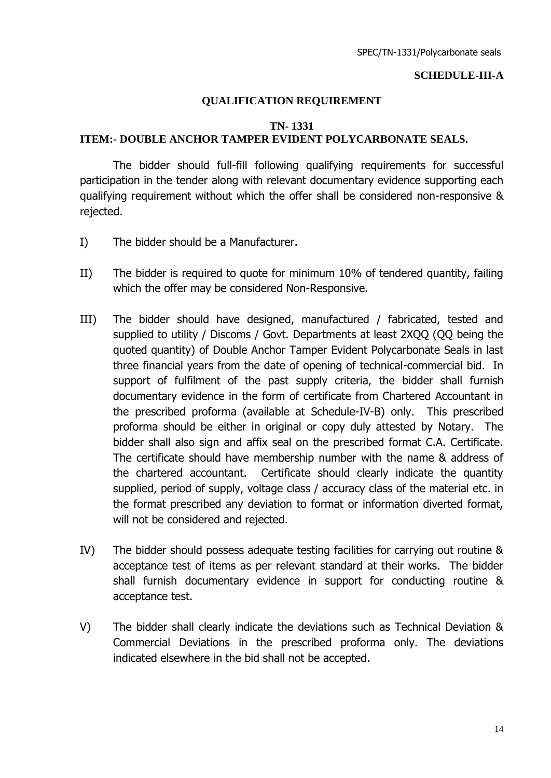#### **SCHEDULE-III-A**

#### **QUALIFICATION REQUIREMENT**

#### **TN- 1331 ITEM:- DOUBLE ANCHOR TAMPER EVIDENT POLYCARBONATE SEALS.**

The bidder should full-fill following qualifying requirements for successful participation in the tender along with relevant documentary evidence supporting each qualifying requirement without which the offer shall be considered non-responsive & rejected.

- I) The bidder should be a Manufacturer.
- II) The bidder is required to quote for minimum 10% of tendered quantity, failing which the offer may be considered Non-Responsive.
- III) The bidder should have designed, manufactured / fabricated, tested and supplied to utility / Discoms / Govt. Departments at least 2XQQ (QQ being the quoted quantity) of Double Anchor Tamper Evident Polycarbonate Seals in last three financial years from the date of opening of technical-commercial bid. In support of fulfilment of the past supply criteria, the bidder shall furnish documentary evidence in the form of certificate from Chartered Accountant in the prescribed proforma (available at Schedule-IV-B) only. This prescribed proforma should be either in original or copy duly attested by Notary. The bidder shall also sign and affix seal on the prescribed format C.A. Certificate. The certificate should have membership number with the name & address of the chartered accountant. Certificate should clearly indicate the quantity supplied, period of supply, voltage class / accuracy class of the material etc. in the format prescribed any deviation to format or information diverted format, will not be considered and rejected.
- IV) The bidder should possess adequate testing facilities for carrying out routine & acceptance test of items as per relevant standard at their works. The bidder shall furnish documentary evidence in support for conducting routine & acceptance test.
- V) The bidder shall clearly indicate the deviations such as Technical Deviation & Commercial Deviations in the prescribed proforma only. The deviations indicated elsewhere in the bid shall not be accepted.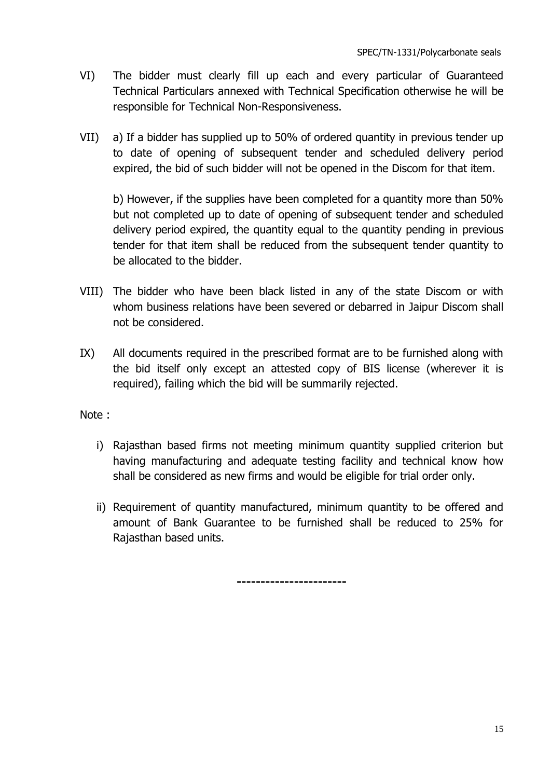- VI) The bidder must clearly fill up each and every particular of Guaranteed Technical Particulars annexed with Technical Specification otherwise he will be responsible for Technical Non-Responsiveness.
- VII) a) If a bidder has supplied up to 50% of ordered quantity in previous tender up to date of opening of subsequent tender and scheduled delivery period expired, the bid of such bidder will not be opened in the Discom for that item.

b) However, if the supplies have been completed for a quantity more than 50% but not completed up to date of opening of subsequent tender and scheduled delivery period expired, the quantity equal to the quantity pending in previous tender for that item shall be reduced from the subsequent tender quantity to be allocated to the bidder.

- VIII) The bidder who have been black listed in any of the state Discom or with whom business relations have been severed or debarred in Jaipur Discom shall not be considered.
- IX) All documents required in the prescribed format are to be furnished along with the bid itself only except an attested copy of BIS license (wherever it is required), failing which the bid will be summarily rejected.

Note :

- i) Rajasthan based firms not meeting minimum quantity supplied criterion but having manufacturing and adequate testing facility and technical know how shall be considered as new firms and would be eligible for trial order only.
- ii) Requirement of quantity manufactured, minimum quantity to be offered and amount of Bank Guarantee to be furnished shall be reduced to 25% for Rajasthan based units.

**-----------------------**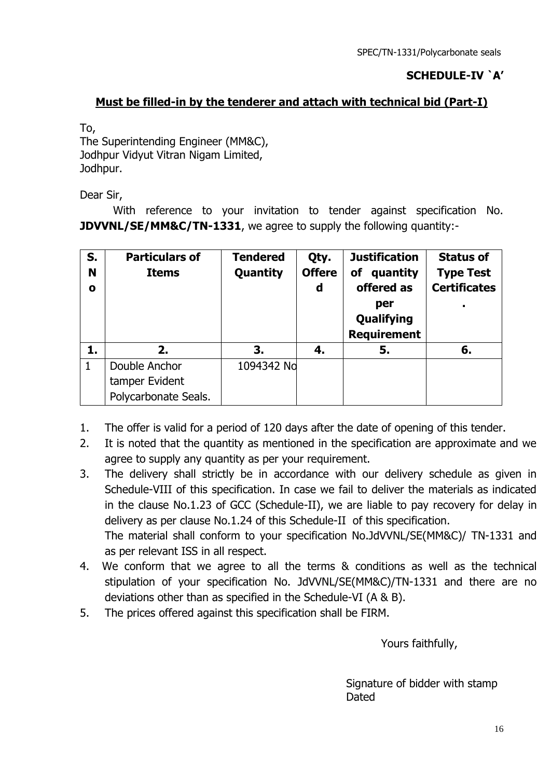# **SCHEDULE-IV `A'**

# **Must be filled-in by the tenderer and attach with technical bid (Part-I)**

To, The Superintending Engineer (MM&C), Jodhpur Vidyut Vitran Nigam Limited, Jodhpur.

Dear Sir,

With reference to your invitation to tender against specification No. **JDVVNL/SE/MM&C/TN-1331**, we agree to supply the following quantity:-

| S.<br>N<br>O | <b>Particulars of</b><br><b>Items</b> | <b>Tendered</b><br>Quantity | Qty.<br><b>Offere</b><br>d | <b>Justification</b><br>quantity<br>of<br>offered as<br>per<br>Qualifying<br><b>Requirement</b> | <b>Status of</b><br><b>Type Test</b><br><b>Certificates</b> |
|--------------|---------------------------------------|-----------------------------|----------------------------|-------------------------------------------------------------------------------------------------|-------------------------------------------------------------|
| 1.           | 2.                                    | 3.                          | 4.                         | 5.                                                                                              | 6.                                                          |
| 1            | Double Anchor                         | 1094342 No                  |                            |                                                                                                 |                                                             |
|              | tamper Evident                        |                             |                            |                                                                                                 |                                                             |
|              | Polycarbonate Seals.                  |                             |                            |                                                                                                 |                                                             |

- 1. The offer is valid for a period of 120 days after the date of opening of this tender.
- 2. It is noted that the quantity as mentioned in the specification are approximate and we agree to supply any quantity as per your requirement.
- 3. The delivery shall strictly be in accordance with our delivery schedule as given in Schedule-VIII of this specification. In case we fail to deliver the materials as indicated in the clause No.1.23 of GCC (Schedule-II), we are liable to pay recovery for delay in delivery as per clause No.1.24 of this Schedule-II of this specification. The material shall conform to your specification No.JdVVNL/SE(MM&C)/ TN-1331 and as per relevant ISS in all respect.
- 4. We conform that we agree to all the terms & conditions as well as the technical stipulation of your specification No. JdVVNL/SE(MM&C)/TN-1331 and there are no deviations other than as specified in the Schedule-VI (A & B).
- 5. The prices offered against this specification shall be FIRM.

Yours faithfully,

 Signature of bidder with stamp Dated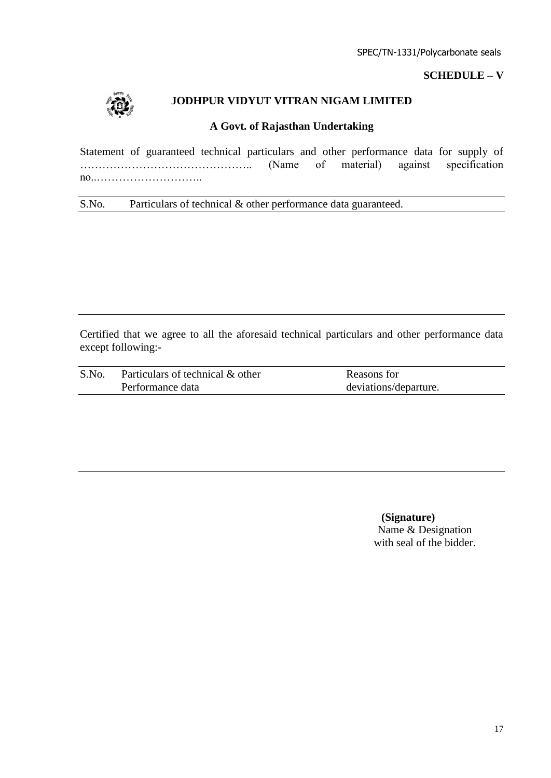## **SCHEDULE – V**



## **JODHPUR VIDYUT VITRAN NIGAM LIMITED**

#### **A Govt. of Rajasthan Undertaking**

Statement of guaranteed technical particulars and other performance data for supply of ……………………………………….. (Name of material) against specification no..………………………..

S.No. Particulars of technical & other performance data guaranteed.

Certified that we agree to all the aforesaid technical particulars and other performance data except following:-

| S.No. | Particulars of technical & other | Reasons for           |
|-------|----------------------------------|-----------------------|
|       | Performance data                 | deviations/departure. |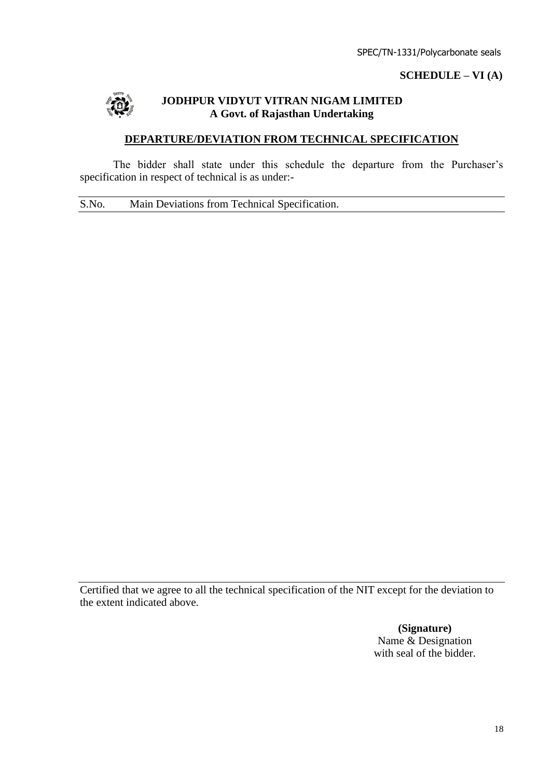#### **SCHEDULE – VI (A)**



## **JODHPUR VIDYUT VITRAN NIGAM LIMITED A Govt. of Rajasthan Undertaking**

## **DEPARTURE/DEVIATION FROM TECHNICAL SPECIFICATION**

The bidder shall state under this schedule the departure from the Purchaser's specification in respect of technical is as under:-

S.No. Main Deviations from Technical Specification.

Certified that we agree to all the technical specification of the NIT except for the deviation to the extent indicated above.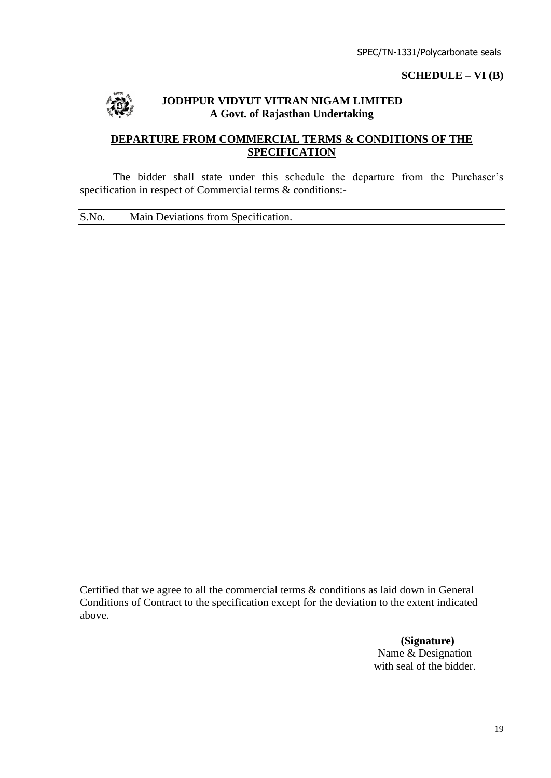#### **SCHEDULE – VI (B)**



#### **JODHPUR VIDYUT VITRAN NIGAM LIMITED A Govt. of Rajasthan Undertaking**

# **DEPARTURE FROM COMMERCIAL TERMS & CONDITIONS OF THE SPECIFICATION**

The bidder shall state under this schedule the departure from the Purchaser's specification in respect of Commercial terms & conditions:-

S.No. Main Deviations from Specification.

Certified that we agree to all the commercial terms & conditions as laid down in General Conditions of Contract to the specification except for the deviation to the extent indicated above.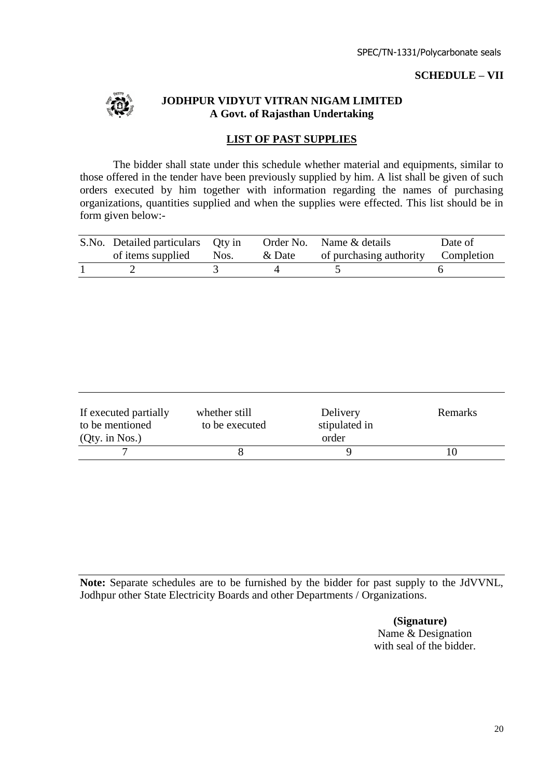#### **SCHEDULE – VII**



#### **JODHPUR VIDYUT VITRAN NIGAM LIMITED A Govt. of Rajasthan Undertaking**

## **LIST OF PAST SUPPLIES**

The bidder shall state under this schedule whether material and equipments, similar to those offered in the tender have been previously supplied by him. A list shall be given of such orders executed by him together with information regarding the names of purchasing organizations, quantities supplied and when the supplies were effected. This list should be in form given below:-

| S.No. Detailed particulars Qty in |        | Order No. Name & details           | Date of |
|-----------------------------------|--------|------------------------------------|---------|
| of items supplied Nos.            | & Date | of purchasing authority Completion |         |
|                                   |        |                                    |         |

| If executed partially<br>to be mentioned<br>$(Qty.$ in Nos.) | whether still<br>to be executed | Delivery<br>stipulated in<br>order | Remarks |
|--------------------------------------------------------------|---------------------------------|------------------------------------|---------|
|                                                              |                                 |                                    |         |

**Note:** Separate schedules are to be furnished by the bidder for past supply to the JdVVNL, Jodhpur other State Electricity Boards and other Departments / Organizations.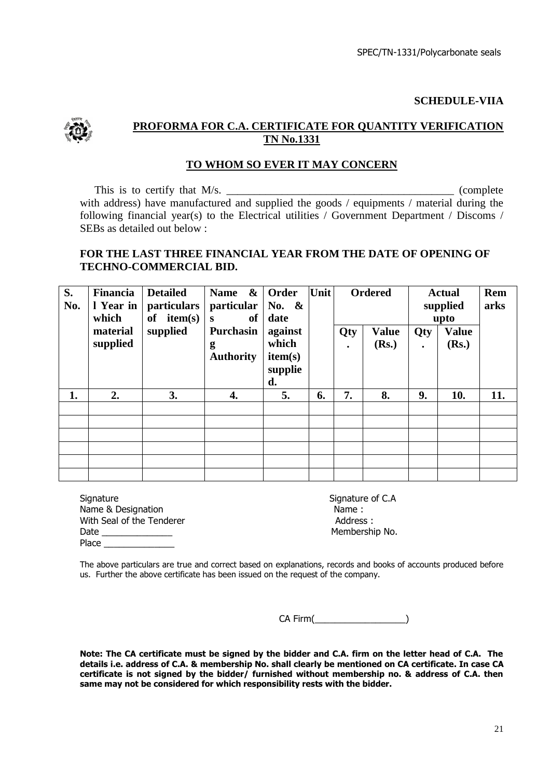**SCHEDULE-VIIA**



## **PROFORMA FOR C.A. CERTIFICATE FOR QUANTITY VERIFICATION TN No.1331**

#### **TO WHOM SO EVER IT MAY CONCERN**

This is to certify that M/s. \_\_\_\_\_\_\_\_\_\_\_\_\_\_\_\_\_\_\_\_\_\_\_\_\_\_\_\_\_\_\_\_\_\_\_\_\_\_\_\_\_ (complete with address) have manufactured and supplied the goods / equipments / material during the following financial year(s) to the Electrical utilities / Government Department / Discoms / SEBs as detailed out below :

#### **FOR THE LAST THREE FINANCIAL YEAR FROM THE DATE OF OPENING OF TECHNO-COMMERCIAL BID.**

| S.<br>No. | Financia<br>1 Year in<br>which | <b>Detailed</b><br><i>particulars</i><br>item(s)<br>of | $\boldsymbol{\&}$<br><b>Name</b><br>particular<br>of<br>S | Order<br>No. $\&$<br>date                    | Unit |                  | <b>Ordered</b>        |                  | <b>Actual</b><br>supplied<br>upto | Rem<br>arks |
|-----------|--------------------------------|--------------------------------------------------------|-----------------------------------------------------------|----------------------------------------------|------|------------------|-----------------------|------------------|-----------------------------------|-------------|
|           | material<br>supplied           | supplied                                               | <b>Purchasin</b><br>g<br><b>Authority</b>                 | against<br>which<br>item(s)<br>supplie<br>d. |      | Qty<br>$\bullet$ | <b>Value</b><br>(Rs.) | Qty<br>$\bullet$ | <b>Value</b><br>(Rs.)             |             |
| 1.        | 2.                             | 3.                                                     | 4.                                                        | 5.                                           | 6.   | 7.               | 8.                    | 9.               | 10.                               | 11.         |
|           |                                |                                                        |                                                           |                                              |      |                  |                       |                  |                                   |             |
|           |                                |                                                        |                                                           |                                              |      |                  |                       |                  |                                   |             |
|           |                                |                                                        |                                                           |                                              |      |                  |                       |                  |                                   |             |
|           |                                |                                                        |                                                           |                                              |      |                  |                       |                  |                                   |             |
|           |                                |                                                        |                                                           |                                              |      |                  |                       |                  |                                   |             |

| Signature                 | Signature |
|---------------------------|-----------|
| Name & Designation        | Name:     |
| With Seal of the Tenderer | Address   |
| Date                      | Members   |
| Place                     |           |

Signature of C.A Address : Membership No.

The above particulars are true and correct based on explanations, records and books of accounts produced before us. Further the above certificate has been issued on the request of the company.

CA Firm(

**Note: The CA certificate must be signed by the bidder and C.A. firm on the letter head of C.A. The details i.e. address of C.A. & membership No. shall clearly be mentioned on CA certificate. In case CA certificate is not signed by the bidder/ furnished without membership no. & address of C.A. then same may not be considered for which responsibility rests with the bidder.**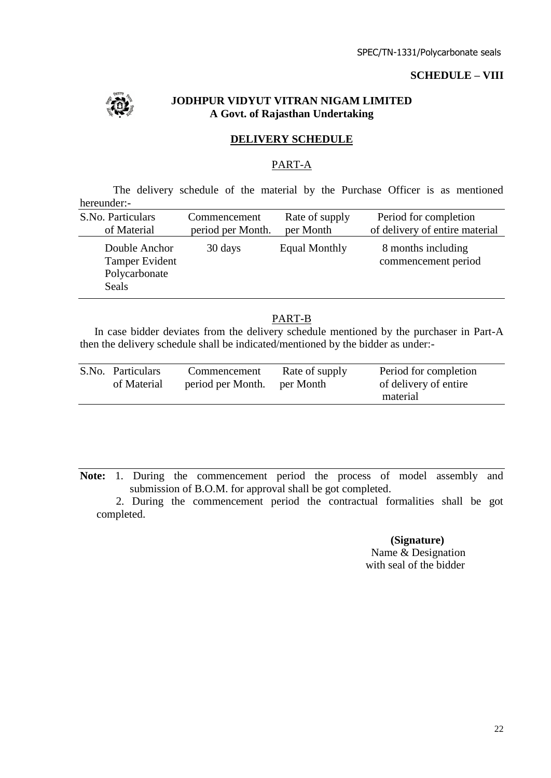## **SCHEDULE – VIII**



## **JODHPUR VIDYUT VITRAN NIGAM LIMITED A Govt. of Rajasthan Undertaking**

#### **DELIVERY SCHEDULE**

#### PART-A

The delivery schedule of the material by the Purchase Officer is as mentioned hereunder:-

| S.No. Particulars                                         | Commencement      | Rate of supply       | Period for completion                     |
|-----------------------------------------------------------|-------------------|----------------------|-------------------------------------------|
| of Material                                               | period per Month. | per Month            | of delivery of entire material            |
| Double Anchor<br>Tamper Evident<br>Polycarbonate<br>Seals | 30 days           | <b>Equal Monthly</b> | 8 months including<br>commencement period |

## PART-B

In case bidder deviates from the delivery schedule mentioned by the purchaser in Part-A then the delivery schedule shall be indicated/mentioned by the bidder as under:-

**Note:** 1. During the commencement period the process of model assembly and submission of B.O.M. for approval shall be got completed.

 2. During the commencement period the contractual formalities shall be got completed.

> **(Signature)** Name & Designation

with seal of the bidder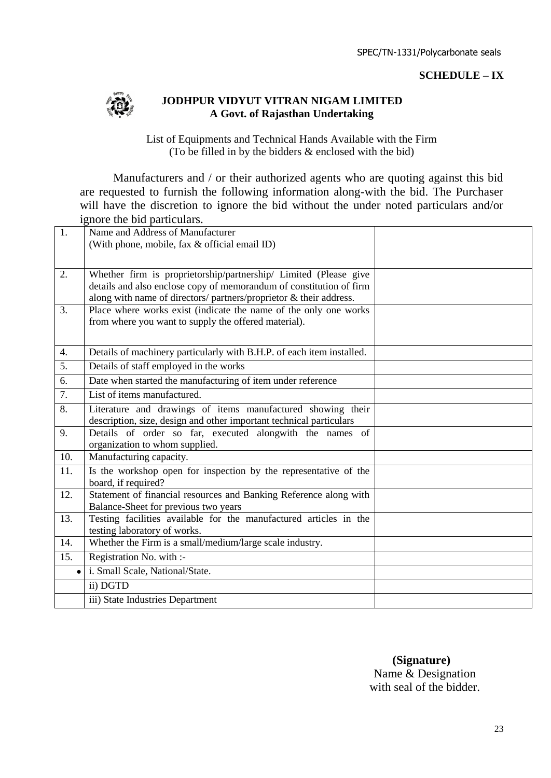#### **SCHEDULE – IX**



#### **JODHPUR VIDYUT VITRAN NIGAM LIMITED A Govt. of Rajasthan Undertaking**

List of Equipments and Technical Hands Available with the Firm (To be filled in by the bidders & enclosed with the bid)

Manufacturers and / or their authorized agents who are quoting against this bid are requested to furnish the following information along-with the bid. The Purchaser will have the discretion to ignore the bid without the under noted particulars and/or ignore the bid particulars.

| 1.                 | Name and Address of Manufacturer                                                                          |  |
|--------------------|-----------------------------------------------------------------------------------------------------------|--|
|                    | (With phone, mobile, fax & official email ID)                                                             |  |
|                    |                                                                                                           |  |
| 2.                 | Whether firm is proprietorship/partnership/ Limited (Please give                                          |  |
|                    | details and also enclose copy of memorandum of constitution of firm                                       |  |
|                    | along with name of directors/ partners/proprietor & their address.                                        |  |
| 3.                 | Place where works exist (indicate the name of the only one works                                          |  |
|                    | from where you want to supply the offered material).                                                      |  |
|                    |                                                                                                           |  |
| 4.                 | Details of machinery particularly with B.H.P. of each item installed.                                     |  |
| 5.                 | Details of staff employed in the works                                                                    |  |
| 6.                 | Date when started the manufacturing of item under reference                                               |  |
| $\overline{7}$ .   | List of items manufactured.                                                                               |  |
|                    |                                                                                                           |  |
| 8.                 | Literature and drawings of items manufactured showing their                                               |  |
|                    | description, size, design and other important technical particulars                                       |  |
| 9.                 | Details of order so far, executed alongwith the names of                                                  |  |
| 10.                | organization to whom supplied.<br>Manufacturing capacity.                                                 |  |
|                    |                                                                                                           |  |
| 11.                | Is the workshop open for inspection by the representative of the                                          |  |
| 12.                | board, if required?                                                                                       |  |
|                    | Statement of financial resources and Banking Reference along with<br>Balance-Sheet for previous two years |  |
| 13.                | Testing facilities available for the manufactured articles in the                                         |  |
|                    | testing laboratory of works.                                                                              |  |
| 14.                | Whether the Firm is a small/medium/large scale industry.                                                  |  |
| 15.                | Registration No. with :-                                                                                  |  |
| $\bullet$ $\vdash$ | i. Small Scale, National/State.                                                                           |  |
|                    | ii) DGTD                                                                                                  |  |
|                    |                                                                                                           |  |
|                    | iii) State Industries Department                                                                          |  |

 **(Signature)**

Name & Designation with seal of the bidder.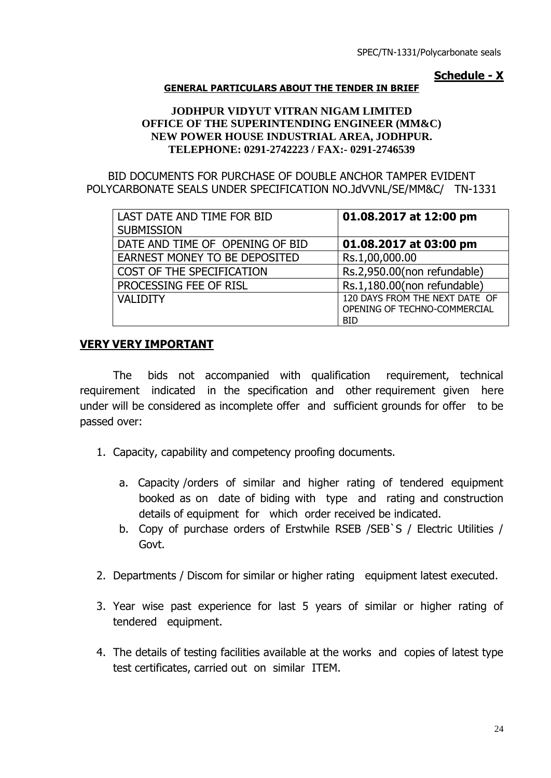## **Schedule - X**

#### **GENERAL PARTICULARS ABOUT THE TENDER IN BRIEF**

#### **JODHPUR VIDYUT VITRAN NIGAM LIMITED OFFICE OF THE SUPERINTENDING ENGINEER (MM&C) NEW POWER HOUSE INDUSTRIAL AREA, JODHPUR. TELEPHONE: 0291-2742223 / FAX:- 0291-2746539**

BID DOCUMENTS FOR PURCHASE OF DOUBLE ANCHOR TAMPER EVIDENT POLYCARBONATE SEALS UNDER SPECIFICATION NO.JdVVNL/SE/MM&C/ TN-1331

| LAST DATE AND TIME FOR BID<br><b>SUBMISSION</b> | 01.08.2017 at 12:00 pm                                                       |
|-------------------------------------------------|------------------------------------------------------------------------------|
| DATE AND TIME OF OPENING OF BID                 | 01.08.2017 at 03:00 pm                                                       |
| EARNEST MONEY TO BE DEPOSITED                   | Rs.1,00,000.00                                                               |
| COST OF THE SPECIFICATION                       | Rs.2,950.00(non refundable)                                                  |
| PROCESSING FEE OF RISL                          | Rs.1,180.00(non refundable)                                                  |
| <b>VALIDITY</b>                                 | 120 DAYS FROM THE NEXT DATE OF<br>OPENING OF TECHNO-COMMERCIAL<br><b>BID</b> |

## **VERY VERY IMPORTANT**

The bids not accompanied with qualification requirement, technical requirement indicated in the specification and other requirement given here under will be considered as incomplete offer and sufficient grounds for offer to be passed over:

- 1. Capacity, capability and competency proofing documents.
	- a. Capacity /orders of similar and higher rating of tendered equipment booked as on date of biding with type and rating and construction details of equipment for which order received be indicated.
	- b. Copy of purchase orders of Erstwhile RSEB /SEB`S / Electric Utilities / Govt.
- 2. Departments / Discom for similar or higher rating equipment latest executed.
- 3. Year wise past experience for last 5 years of similar or higher rating of tendered equipment.
- 4. The details of testing facilities available at the works and copies of latest type test certificates, carried out on similar ITEM.